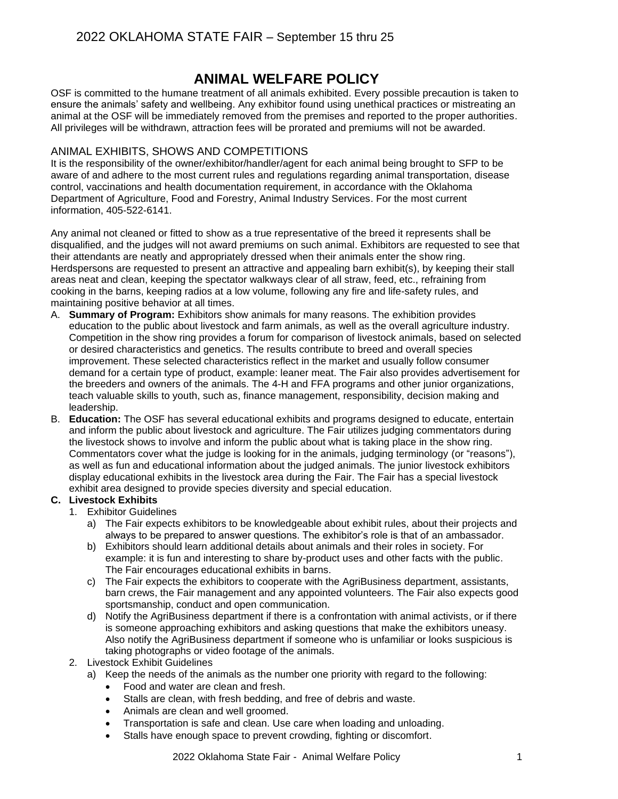# **ANIMAL WELFARE POLICY**

OSF is committed to the humane treatment of all animals exhibited. Every possible precaution is taken to ensure the animals' safety and wellbeing. Any exhibitor found using unethical practices or mistreating an animal at the OSF will be immediately removed from the premises and reported to the proper authorities. All privileges will be withdrawn, attraction fees will be prorated and premiums will not be awarded.

#### ANIMAL EXHIBITS, SHOWS AND COMPETITIONS

It is the responsibility of the owner/exhibitor/handler/agent for each animal being brought to SFP to be aware of and adhere to the most current rules and regulations regarding animal transportation, disease control, vaccinations and health documentation requirement, in accordance with the Oklahoma Department of Agriculture, Food and Forestry, Animal Industry Services. For the most current information, 405-522-6141.

Any animal not cleaned or fitted to show as a true representative of the breed it represents shall be disqualified, and the judges will not award premiums on such animal. Exhibitors are requested to see that their attendants are neatly and appropriately dressed when their animals enter the show ring. Herdspersons are requested to present an attractive and appealing barn exhibit(s), by keeping their stall areas neat and clean, keeping the spectator walkways clear of all straw, feed, etc., refraining from cooking in the barns, keeping radios at a low volume, following any fire and life-safety rules, and maintaining positive behavior at all times.

- A. **Summary of Program:** Exhibitors show animals for many reasons. The exhibition provides education to the public about livestock and farm animals, as well as the overall agriculture industry. Competition in the show ring provides a forum for comparison of livestock animals, based on selected or desired characteristics and genetics. The results contribute to breed and overall species improvement. These selected characteristics reflect in the market and usually follow consumer demand for a certain type of product, example: leaner meat. The Fair also provides advertisement for the breeders and owners of the animals. The 4-H and FFA programs and other junior organizations, teach valuable skills to youth, such as, finance management, responsibility, decision making and leadership.
- B. **Education:** The OSF has several educational exhibits and programs designed to educate, entertain and inform the public about livestock and agriculture. The Fair utilizes judging commentators during the livestock shows to involve and inform the public about what is taking place in the show ring. Commentators cover what the judge is looking for in the animals, judging terminology (or "reasons"), as well as fun and educational information about the judged animals. The junior livestock exhibitors display educational exhibits in the livestock area during the Fair. The Fair has a special livestock exhibit area designed to provide species diversity and special education.

### **C. Livestock Exhibits**

- 1. Exhibitor Guidelines
	- a) The Fair expects exhibitors to be knowledgeable about exhibit rules, about their projects and always to be prepared to answer questions. The exhibitor's role is that of an ambassador.
	- b) Exhibitors should learn additional details about animals and their roles in society. For example: it is fun and interesting to share by-product uses and other facts with the public. The Fair encourages educational exhibits in barns.
	- c) The Fair expects the exhibitors to cooperate with the AgriBusiness department, assistants, barn crews, the Fair management and any appointed volunteers. The Fair also expects good sportsmanship, conduct and open communication.
	- d) Notify the AgriBusiness department if there is a confrontation with animal activists, or if there is someone approaching exhibitors and asking questions that make the exhibitors uneasy. Also notify the AgriBusiness department if someone who is unfamiliar or looks suspicious is taking photographs or video footage of the animals.
- 2. Livestock Exhibit Guidelines
	- a) Keep the needs of the animals as the number one priority with regard to the following:
		- Food and water are clean and fresh.
		- Stalls are clean, with fresh bedding, and free of debris and waste.
		- Animals are clean and well groomed.
		- Transportation is safe and clean. Use care when loading and unloading.
		- Stalls have enough space to prevent crowding, fighting or discomfort.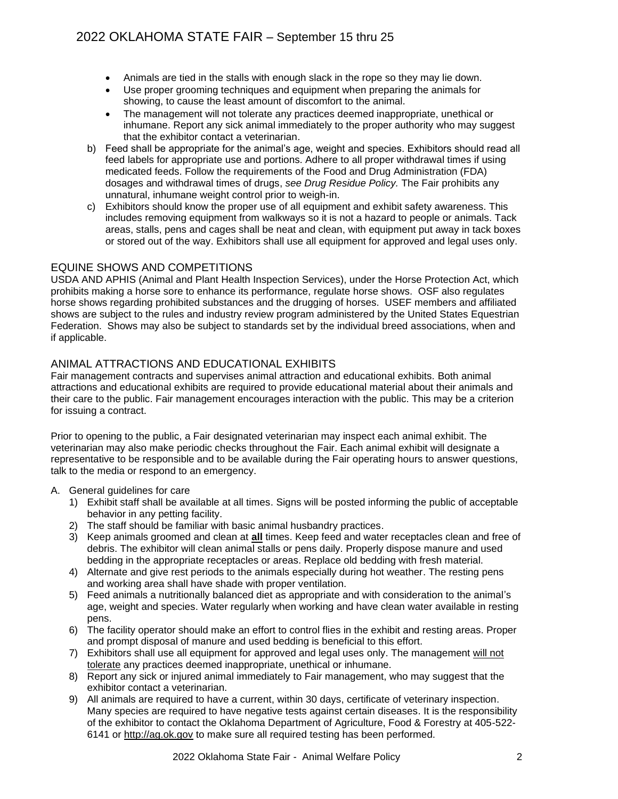- Animals are tied in the stalls with enough slack in the rope so they may lie down.
- Use proper grooming techniques and equipment when preparing the animals for showing, to cause the least amount of discomfort to the animal.
- The management will not tolerate any practices deemed inappropriate, unethical or inhumane. Report any sick animal immediately to the proper authority who may suggest that the exhibitor contact a veterinarian.
- b) Feed shall be appropriate for the animal's age, weight and species. Exhibitors should read all feed labels for appropriate use and portions. Adhere to all proper withdrawal times if using medicated feeds. Follow the requirements of the Food and Drug Administration (FDA) dosages and withdrawal times of drugs, *see Drug Residue Policy.* The Fair prohibits any unnatural, inhumane weight control prior to weigh-in.
- c) Exhibitors should know the proper use of all equipment and exhibit safety awareness. This includes removing equipment from walkways so it is not a hazard to people or animals. Tack areas, stalls, pens and cages shall be neat and clean, with equipment put away in tack boxes or stored out of the way. Exhibitors shall use all equipment for approved and legal uses only.

#### EQUINE SHOWS AND COMPETITIONS

USDA AND APHIS (Animal and Plant Health Inspection Services), under the Horse Protection Act, which prohibits making a horse sore to enhance its performance, regulate horse shows. OSF also regulates horse shows regarding prohibited substances and the drugging of horses. USEF members and affiliated shows are subject to the rules and industry review program administered by the United States Equestrian Federation. Shows may also be subject to standards set by the individual breed associations, when and if applicable.

# ANIMAL ATTRACTIONS AND EDUCATIONAL EXHIBITS

Fair management contracts and supervises animal attraction and educational exhibits. Both animal attractions and educational exhibits are required to provide educational material about their animals and their care to the public. Fair management encourages interaction with the public. This may be a criterion for issuing a contract.

Prior to opening to the public, a Fair designated veterinarian may inspect each animal exhibit. The veterinarian may also make periodic checks throughout the Fair. Each animal exhibit will designate a representative to be responsible and to be available during the Fair operating hours to answer questions, talk to the media or respond to an emergency.

#### A. General guidelines for care

- 1) Exhibit staff shall be available at all times. Signs will be posted informing the public of acceptable behavior in any petting facility.
- 2) The staff should be familiar with basic animal husbandry practices.
- 3) Keep animals groomed and clean at **all** times. Keep feed and water receptacles clean and free of debris. The exhibitor will clean animal stalls or pens daily. Properly dispose manure and used bedding in the appropriate receptacles or areas. Replace old bedding with fresh material.
- 4) Alternate and give rest periods to the animals especially during hot weather. The resting pens and working area shall have shade with proper ventilation.
- 5) Feed animals a nutritionally balanced diet as appropriate and with consideration to the animal's age, weight and species. Water regularly when working and have clean water available in resting pens.
- 6) The facility operator should make an effort to control flies in the exhibit and resting areas. Proper and prompt disposal of manure and used bedding is beneficial to this effort.
- 7) Exhibitors shall use all equipment for approved and legal uses only. The management will not tolerate any practices deemed inappropriate, unethical or inhumane.
- 8) Report any sick or injured animal immediately to Fair management, who may suggest that the exhibitor contact a veterinarian.
- 9) All animals are required to have a current, within 30 days, certificate of veterinary inspection. Many species are required to have negative tests against certain diseases. It is the responsibility of the exhibitor to contact the Oklahoma Department of Agriculture, Food & Forestry at 405-522- 6141 or http://ag.ok.gov to make sure all required testing has been performed.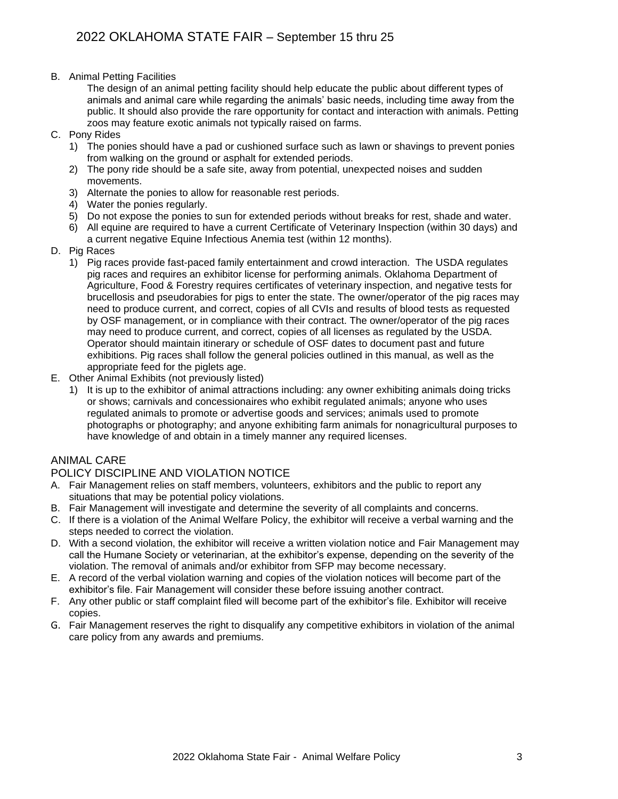B. Animal Petting Facilities

The design of an animal petting facility should help educate the public about different types of animals and animal care while regarding the animals' basic needs, including time away from the public. It should also provide the rare opportunity for contact and interaction with animals. Petting zoos may feature exotic animals not typically raised on farms.

- C. Pony Rides
	- 1) The ponies should have a pad or cushioned surface such as lawn or shavings to prevent ponies from walking on the ground or asphalt for extended periods.
	- 2) The pony ride should be a safe site, away from potential, unexpected noises and sudden movements.
	- 3) Alternate the ponies to allow for reasonable rest periods.
	- 4) Water the ponies regularly.
	- 5) Do not expose the ponies to sun for extended periods without breaks for rest, shade and water.
	- 6) All equine are required to have a current Certificate of Veterinary Inspection (within 30 days) and a current negative Equine Infectious Anemia test (within 12 months).
- D. Pig Races
	- 1) Pig races provide fast-paced family entertainment and crowd interaction. The USDA regulates pig races and requires an exhibitor license for performing animals. Oklahoma Department of Agriculture, Food & Forestry requires certificates of veterinary inspection, and negative tests for brucellosis and pseudorabies for pigs to enter the state. The owner/operator of the pig races may need to produce current, and correct, copies of all CVIs and results of blood tests as requested by OSF management, or in compliance with their contract. The owner/operator of the pig races may need to produce current, and correct, copies of all licenses as regulated by the USDA. Operator should maintain itinerary or schedule of OSF dates to document past and future exhibitions. Pig races shall follow the general policies outlined in this manual, as well as the appropriate feed for the piglets age.
- E. Other Animal Exhibits (not previously listed)
	- 1) It is up to the exhibitor of animal attractions including: any owner exhibiting animals doing tricks or shows; carnivals and concessionaires who exhibit regulated animals; anyone who uses regulated animals to promote or advertise goods and services; animals used to promote photographs or photography; and anyone exhibiting farm animals for nonagricultural purposes to have knowledge of and obtain in a timely manner any required licenses.

#### ANIMAL CARE

# POLICY DISCIPLINE AND VIOLATION NOTICE

- A. Fair Management relies on staff members, volunteers, exhibitors and the public to report any situations that may be potential policy violations.
- B. Fair Management will investigate and determine the severity of all complaints and concerns.
- C. If there is a violation of the Animal Welfare Policy, the exhibitor will receive a verbal warning and the steps needed to correct the violation.
- D. With a second violation, the exhibitor will receive a written violation notice and Fair Management may call the Humane Society or veterinarian, at the exhibitor's expense, depending on the severity of the violation. The removal of animals and/or exhibitor from SFP may become necessary.
- E. A record of the verbal violation warning and copies of the violation notices will become part of the exhibitor's file. Fair Management will consider these before issuing another contract.
- F. Any other public or staff complaint filed will become part of the exhibitor's file. Exhibitor will receive copies.
- G. Fair Management reserves the right to disqualify any competitive exhibitors in violation of the animal care policy from any awards and premiums.